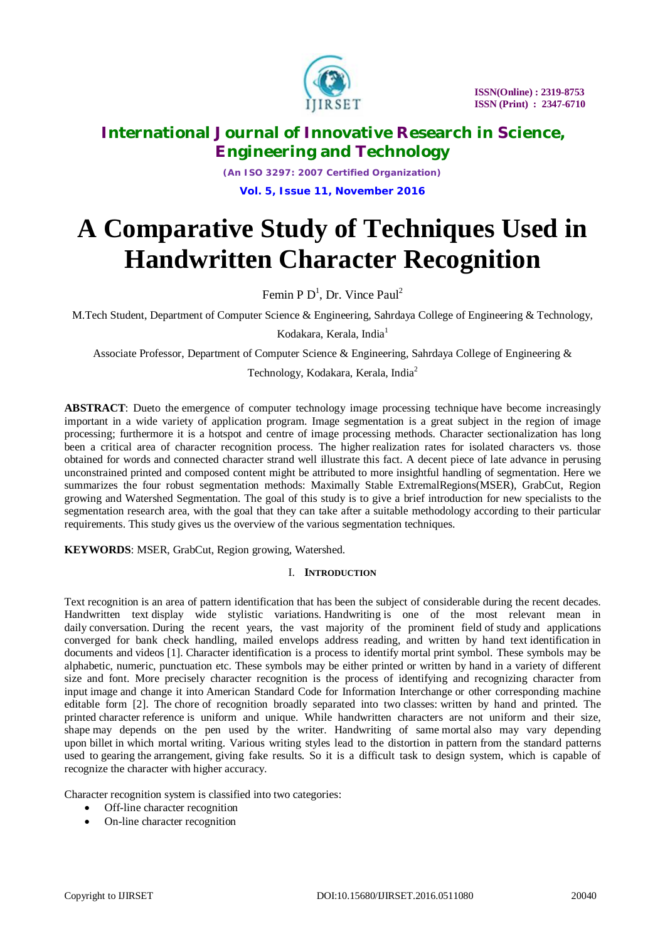

*(An ISO 3297: 2007 Certified Organization)* **Vol. 5, Issue 11, November 2016**

# **A Comparative Study of Techniques Used in Handwritten Character Recognition**

Femin P  $D^1$ , Dr. Vince Paul<sup>2</sup>

M.Tech Student, Department of Computer Science & Engineering, Sahrdaya College of Engineering & Technology,

Kodakara, Kerala, India<sup>1</sup>

Associate Professor, Department of Computer Science & Engineering, Sahrdaya College of Engineering &

Technology, Kodakara, Kerala, India<sup>2</sup>

**ABSTRACT**: Dueto the emergence of computer technology image processing technique have become increasingly important in a wide variety of application program. Image segmentation is a great subject in the region of image processing; furthermore it is a hotspot and centre of image processing methods. Character sectionalization has long been a critical area of character recognition process. The higher realization rates for isolated characters vs. those obtained for words and connected character strand well illustrate this fact. A decent piece of late advance in perusing unconstrained printed and composed content might be attributed to more insightful handling of segmentation. Here we summarizes the four robust segmentation methods: Maximally Stable ExtremalRegions(MSER), GrabCut, Region growing and Watershed Segmentation. The goal of this study is to give a brief introduction for new specialists to the segmentation research area, with the goal that they can take after a suitable methodology according to their particular requirements. This study gives us the overview of the various segmentation techniques.

**KEYWORDS**: MSER, GrabCut, Region growing, Watershed.

#### I. **INTRODUCTION**

Text recognition is an area of pattern identification that has been the subject of considerable during the recent decades. Handwritten text display wide stylistic variations. Handwriting is one of the most relevant mean in daily conversation. During the recent years, the vast majority of the prominent field of study and applications converged for bank check handling, mailed envelops address reading, and written by hand text identification in documents and videos [1]. Character identification is a process to identify mortal print symbol. These symbols may be alphabetic, numeric, punctuation etc. These symbols may be either printed or written by hand in a variety of different size and font. More precisely character recognition is the process of identifying and recognizing character from input image and change it into American Standard Code for Information Interchange or other corresponding machine editable form [2]. The chore of recognition broadly separated into two classes: written by hand and printed. The printed character reference is uniform and unique. While handwritten characters are not uniform and their size, shape may depends on the pen used by the writer. Handwriting of same mortal also may vary depending upon billet in which mortal writing. Various writing styles lead to the distortion in pattern from the standard patterns used to gearing the arrangement, giving fake results. So it is a difficult task to design system, which is capable of recognize the character with higher accuracy.

Character recognition system is classified into two categories:

- Off-line character recognition
- On-line character recognition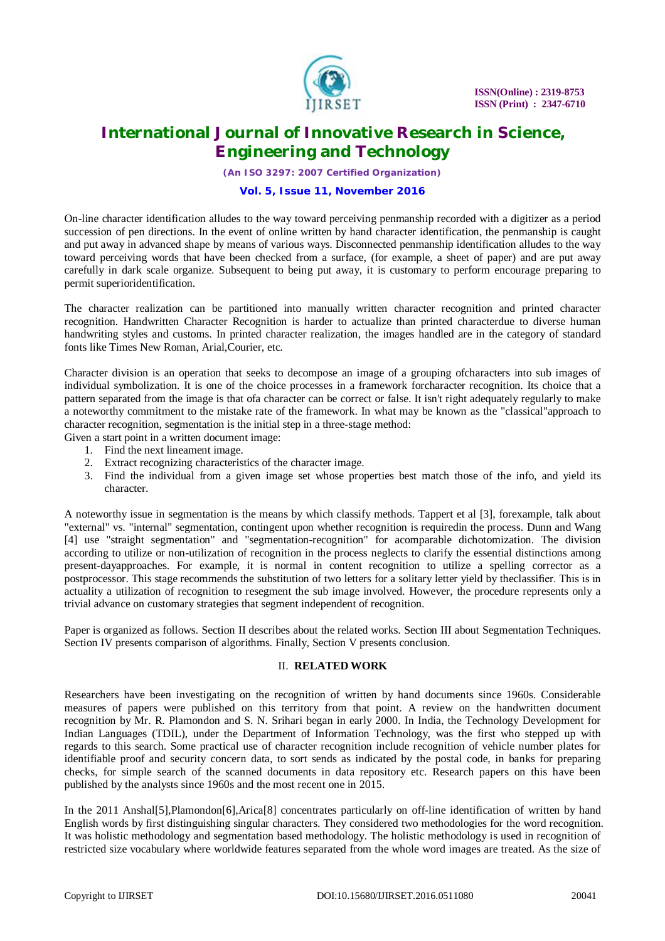

*(An ISO 3297: 2007 Certified Organization)*

#### **Vol. 5, Issue 11, November 2016**

On-line character identification alludes to the way toward perceiving penmanship recorded with a digitizer as a period succession of pen directions. In the event of online written by hand character identification, the penmanship is caught and put away in advanced shape by means of various ways. Disconnected penmanship identification alludes to the way toward perceiving words that have been checked from a surface, (for example, a sheet of paper) and are put away carefully in dark scale organize. Subsequent to being put away, it is customary to perform encourage preparing to permit superioridentification.

The character realization can be partitioned into manually written character recognition and printed character recognition. Handwritten Character Recognition is harder to actualize than printed characterdue to diverse human handwriting styles and customs. In printed character realization, the images handled are in the category of standard fonts like Times New Roman, Arial,Courier, etc.

Character division is an operation that seeks to decompose an image of a grouping ofcharacters into sub images of individual symbolization. It is one of the choice processes in a framework forcharacter recognition. Its choice that a pattern separated from the image is that ofa character can be correct or false. It isn't right adequately regularly to make a noteworthy commitment to the mistake rate of the framework. In what may be known as the "classical"approach to character recognition, segmentation is the initial step in a three-stage method:

Given a start point in a written document image:

- 1. Find the next lineament image.
- 2. Extract recognizing characteristics of the character image.
- 3. Find the individual from a given image set whose properties best match those of the info, and yield its character.

A noteworthy issue in segmentation is the means by which classify methods. Tappert et al [3], forexample, talk about "external" vs. "internal" segmentation, contingent upon whether recognition is requiredin the process. Dunn and Wang [4] use "straight segmentation" and "segmentation-recognition" for acomparable dichotomization. The division according to utilize or non-utilization of recognition in the process neglects to clarify the essential distinctions among present-dayapproaches. For example, it is normal in content recognition to utilize a spelling corrector as a postprocessor. This stage recommends the substitution of two letters for a solitary letter yield by theclassifier. This is in actuality a utilization of recognition to resegment the sub image involved. However, the procedure represents only a trivial advance on customary strategies that segment independent of recognition.

Paper is organized as follows. Section II describes about the related works. Section III about Segmentation Techniques. Section IV presents comparison of algorithms. Finally, Section V presents conclusion.

#### II. **RELATED WORK**

Researchers have been investigating on the recognition of written by hand documents since 1960s. Considerable measures of papers were published on this territory from that point. A review on the handwritten document recognition by Mr. R. Plamondon and S. N. Srihari began in early 2000. In India, the Technology Development for Indian Languages (TDIL), under the Department of Information Technology, was the first who stepped up with regards to this search. Some practical use of character recognition include recognition of vehicle number plates for identifiable proof and security concern data, to sort sends as indicated by the postal code, in banks for preparing checks, for simple search of the scanned documents in data repository etc. Research papers on this have been published by the analysts since 1960s and the most recent one in 2015.

In the 2011 Anshal[5],Plamondon[6],Arica[8] concentrates particularly on off-line identification of written by hand English words by first distinguishing singular characters. They considered two methodologies for the word recognition. It was holistic methodology and segmentation based methodology. The holistic methodology is used in recognition of restricted size vocabulary where worldwide features separated from the whole word images are treated. As the size of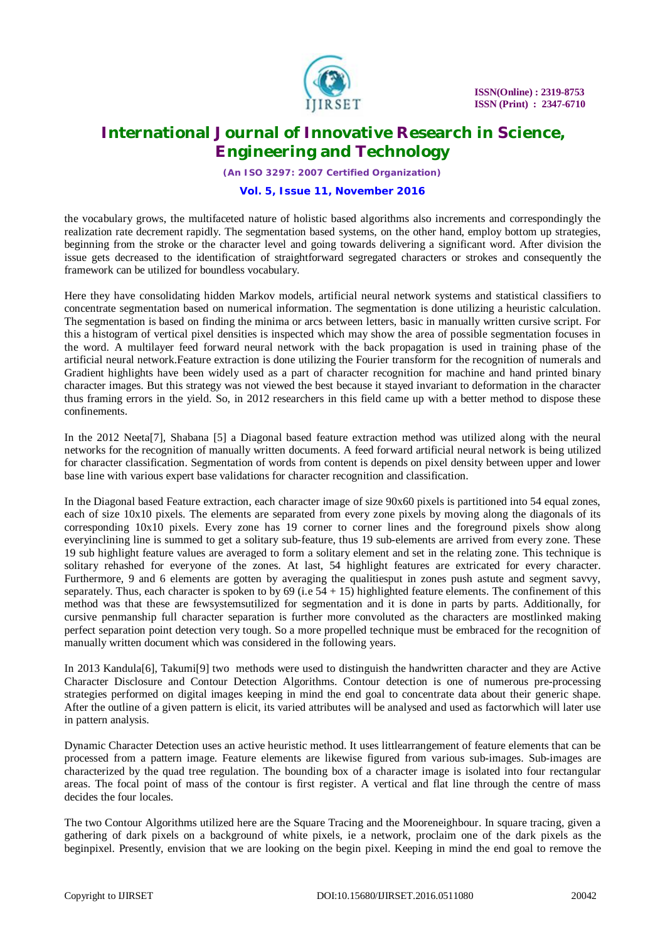

*(An ISO 3297: 2007 Certified Organization)*

#### **Vol. 5, Issue 11, November 2016**

the vocabulary grows, the multifaceted nature of holistic based algorithms also increments and correspondingly the realization rate decrement rapidly. The segmentation based systems, on the other hand, employ bottom up strategies, beginning from the stroke or the character level and going towards delivering a significant word. After division the issue gets decreased to the identification of straightforward segregated characters or strokes and consequently the framework can be utilized for boundless vocabulary.

Here they have consolidating hidden Markov models, artificial neural network systems and statistical classifiers to concentrate segmentation based on numerical information. The segmentation is done utilizing a heuristic calculation. The segmentation is based on finding the minima or arcs between letters, basic in manually written cursive script. For this a histogram of vertical pixel densities is inspected which may show the area of possible segmentation focuses in the word. A multilayer feed forward neural network with the back propagation is used in training phase of the artificial neural network.Feature extraction is done utilizing the Fourier transform for the recognition of numerals and Gradient highlights have been widely used as a part of character recognition for machine and hand printed binary character images. But this strategy was not viewed the best because it stayed invariant to deformation in the character thus framing errors in the yield. So, in 2012 researchers in this field came up with a better method to dispose these confinements.

In the 2012 Neeta[7], Shabana [5] a Diagonal based feature extraction method was utilized along with the neural networks for the recognition of manually written documents. A feed forward artificial neural network is being utilized for character classification. Segmentation of words from content is depends on pixel density between upper and lower base line with various expert base validations for character recognition and classification.

In the Diagonal based Feature extraction, each character image of size 90x60 pixels is partitioned into 54 equal zones, each of size 10x10 pixels. The elements are separated from every zone pixels by moving along the diagonals of its corresponding 10x10 pixels. Every zone has 19 corner to corner lines and the foreground pixels show along everyinclining line is summed to get a solitary sub-feature, thus 19 sub-elements are arrived from every zone. These 19 sub highlight feature values are averaged to form a solitary element and set in the relating zone. This technique is solitary rehashed for everyone of the zones. At last, 54 highlight features are extricated for every character. Furthermore, 9 and 6 elements are gotten by averaging the qualitiesput in zones push astute and segment savvy, separately. Thus, each character is spoken to by  $69$  (i.e  $54 + 15$ ) highlighted feature elements. The confinement of this method was that these are fewsystemsutilized for segmentation and it is done in parts by parts. Additionally, for cursive penmanship full character separation is further more convoluted as the characters are mostlinked making perfect separation point detection very tough. So a more propelled technique must be embraced for the recognition of manually written document which was considered in the following years.

In 2013 Kandula[6], Takumi[9] two methods were used to distinguish the handwritten character and they are Active Character Disclosure and Contour Detection Algorithms. Contour detection is one of numerous pre-processing strategies performed on digital images keeping in mind the end goal to concentrate data about their generic shape. After the outline of a given pattern is elicit, its varied attributes will be analysed and used as factorwhich will later use in pattern analysis.

Dynamic Character Detection uses an active heuristic method. It uses littlearrangement of feature elements that can be processed from a pattern image. Feature elements are likewise figured from various sub-images. Sub-images are characterized by the quad tree regulation. The bounding box of a character image is isolated into four rectangular areas. The focal point of mass of the contour is first register. A vertical and flat line through the centre of mass decides the four locales.

The two Contour Algorithms utilized here are the Square Tracing and the Mooreneighbour. In square tracing, given a gathering of dark pixels on a background of white pixels, ie a network, proclaim one of the dark pixels as the beginpixel. Presently, envision that we are looking on the begin pixel. Keeping in mind the end goal to remove the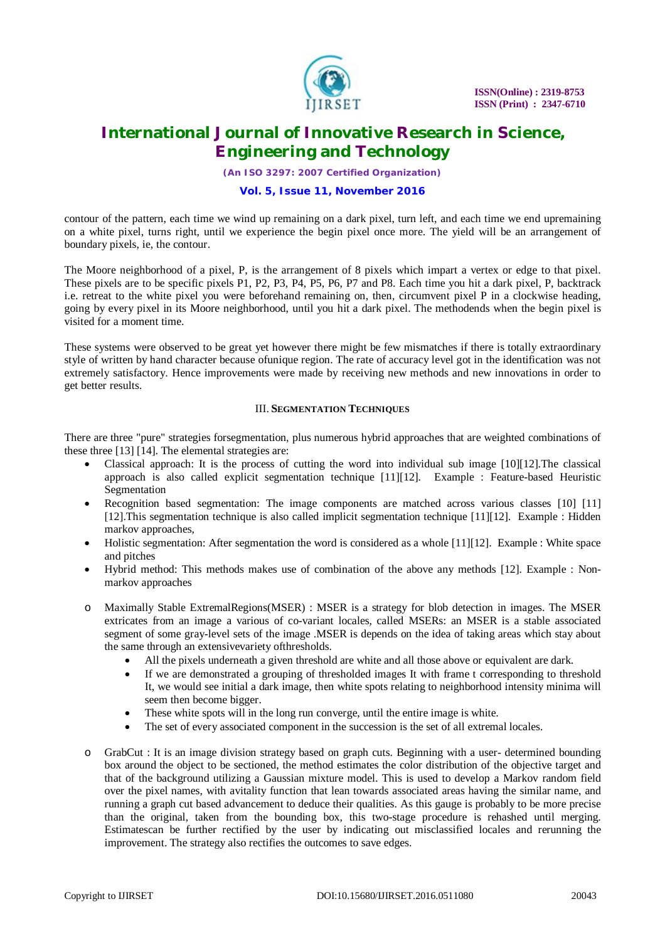

*(An ISO 3297: 2007 Certified Organization)*

### **Vol. 5, Issue 11, November 2016**

contour of the pattern, each time we wind up remaining on a dark pixel, turn left, and each time we end upremaining on a white pixel, turns right, until we experience the begin pixel once more. The yield will be an arrangement of boundary pixels, ie, the contour.

The Moore neighborhood of a pixel, P, is the arrangement of 8 pixels which impart a vertex or edge to that pixel. These pixels are to be specific pixels P1, P2, P3, P4, P5, P6, P7 and P8. Each time you hit a dark pixel, P, backtrack i.e. retreat to the white pixel you were beforehand remaining on, then, circumvent pixel P in a clockwise heading, going by every pixel in its Moore neighborhood, until you hit a dark pixel. The methodends when the begin pixel is visited for a moment time.

These systems were observed to be great yet however there might be few mismatches if there is totally extraordinary style of written by hand character because ofunique region. The rate of accuracy level got in the identification was not extremely satisfactory. Hence improvements were made by receiving new methods and new innovations in order to get better results.

#### III. **SEGMENTATION TECHNIQUES**

There are three "pure" strategies forsegmentation, plus numerous hybrid approaches that are weighted combinations of these three [13] [14]. The elemental strategies are:

- Classical approach: It is the process of cutting the word into individual sub image [10][12].The classical approach is also called explicit segmentation technique [11][12]. Example : Feature-based Heuristic Segmentation
- Recognition based segmentation: The image components are matched across various classes [10] [11] [12].This segmentation technique is also called implicit segmentation technique [11][12]. Example : Hidden markov approaches,
- Holistic segmentation: After segmentation the word is considered as a whole [11][12]. Example : White space and pitches
- Hybrid method: This methods makes use of combination of the above any methods [12]. Example : Nonmarkov approaches
- o Maximally Stable ExtremalRegions(MSER) : MSER is a strategy for blob detection in images. The MSER extricates from an image a various of co-variant locales, called MSERs: an MSER is a stable associated segment of some gray-level sets of the image .MSER is depends on the idea of taking areas which stay about the same through an extensivevariety ofthresholds.
	- All the pixels underneath a given threshold are white and all those above or equivalent are dark.
	- If we are demonstrated a grouping of thresholded images It with frame t corresponding to threshold It, we would see initial a dark image, then white spots relating to neighborhood intensity minima will seem then become bigger.
	- These white spots will in the long run converge, until the entire image is white.
	- The set of every associated component in the succession is the set of all extremal locales.
- o GrabCut : It is an image division strategy based on graph cuts. Beginning with a user- determined bounding box around the object to be sectioned, the method estimates the color distribution of the objective target and that of the background utilizing a Gaussian mixture model. This is used to develop a Markov random field over the pixel names, with avitality function that lean towards associated areas having the similar name, and running a graph cut based advancement to deduce their qualities. As this gauge is probably to be more precise than the original, taken from the bounding box, this two-stage procedure is rehashed until merging. Estimatescan be further rectified by the user by indicating out misclassified locales and rerunning the improvement. The strategy also rectifies the outcomes to save edges.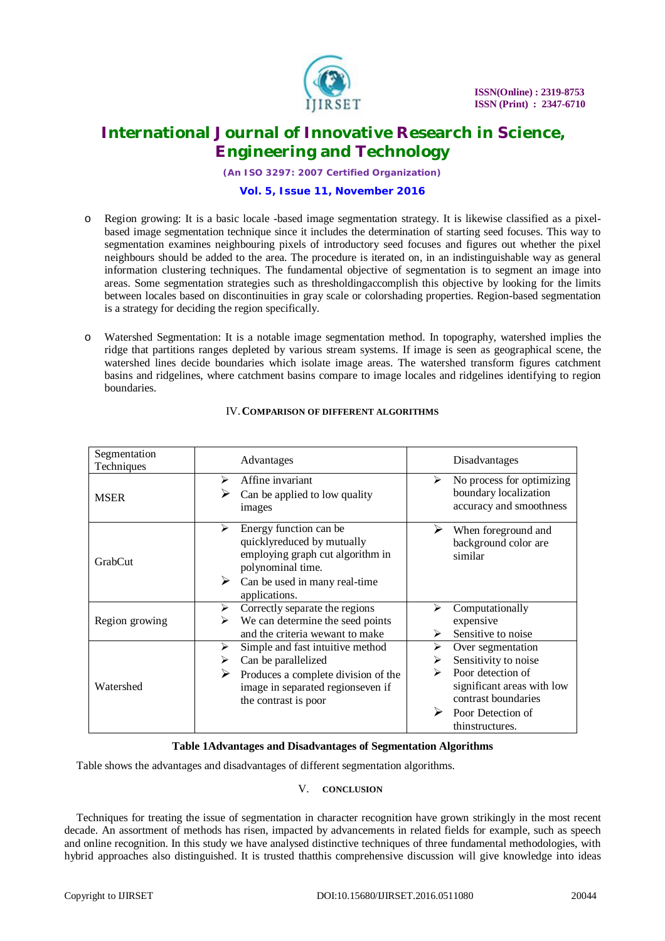

*(An ISO 3297: 2007 Certified Organization)*

#### **Vol. 5, Issue 11, November 2016**

- o Region growing: It is a basic locale -based image segmentation strategy. It is likewise classified as a pixelbased image segmentation technique since it includes the determination of starting seed focuses. This way to segmentation examines neighbouring pixels of introductory seed focuses and figures out whether the pixel neighbours should be added to the area. The procedure is iterated on, in an indistinguishable way as general information clustering techniques. The fundamental objective of segmentation is to segment an image into areas. Some segmentation strategies such as thresholdingaccomplish this objective by looking for the limits between locales based on discontinuities in gray scale or colorshading properties. Region-based segmentation is a strategy for deciding the region specifically.
- o Watershed Segmentation: It is a notable image segmentation method. In topography, watershed implies the ridge that partitions ranges depleted by various stream systems. If image is seen as geographical scene, the watershed lines decide boundaries which isolate image areas. The watershed transform figures catchment basins and ridgelines, where catchment basins compare to image locales and ridgelines identifying to region boundaries.

| Segmentation<br>Techniques | Advantages                                                                                                                                         | Disadvantages                                                                                          |
|----------------------------|----------------------------------------------------------------------------------------------------------------------------------------------------|--------------------------------------------------------------------------------------------------------|
| <b>MSER</b>                | Affine invariant<br>⋗<br>Can be applied to low quality<br>images                                                                                   | No process for optimizing<br>➤<br>boundary localization<br>accuracy and smoothness                     |
| GrabCut                    | Energy function can be<br>➤<br>quicklyreduced by mutually<br>employing graph cut algorithm in<br>polynominal time.                                 | When foreground and<br>background color are<br>similar                                                 |
|                            | Can be used in many real-time<br>➤<br>applications.                                                                                                |                                                                                                        |
| Region growing             | Correctly separate the regions<br>➤<br>We can determine the seed points<br>➤<br>and the criteria wewant to make                                    | Computationally<br>expensive<br>Sensitive to noise<br>⋗                                                |
| Watershed                  | Simple and fast intuitive method<br>≻<br>Can be parallelized<br>➤<br>Produces a complete division of the<br>➤<br>image in separated regionseven if | Over segmentation<br>≻<br>Sensitivity to noise<br>➤<br>Poor detection of<br>significant areas with low |
|                            | the contrast is poor                                                                                                                               | contrast boundaries<br>Poor Detection of<br>thinstructures.                                            |

## IV.**COMPARISON OF DIFFERENT ALGORITHMS**

#### **Table 1Advantages and Disadvantages of Segmentation Algorithms**

Table shows the advantages and disadvantages of different segmentation algorithms.

#### V. **CONCLUSION**

Techniques for treating the issue of segmentation in character recognition have grown strikingly in the most recent decade. An assortment of methods has risen, impacted by advancements in related fields for example, such as speech and online recognition. In this study we have analysed distinctive techniques of three fundamental methodologies, with hybrid approaches also distinguished. It is trusted thatthis comprehensive discussion will give knowledge into ideas